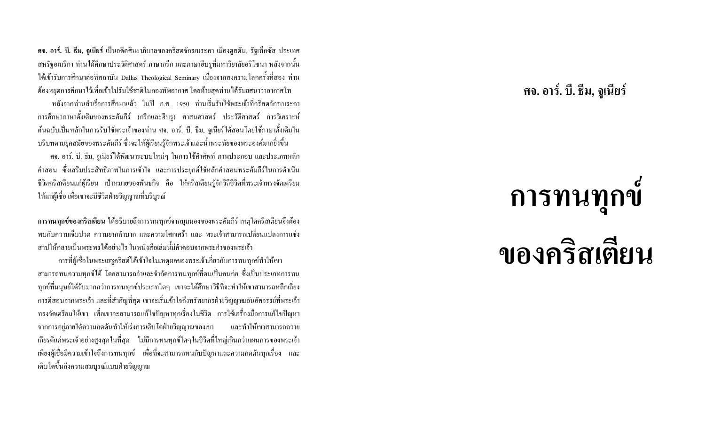ี **คจ. อาร์. บี. ธีม, จูเนียร์** เป็นอดีตศิษยาภิบาลของคริสตจักรเบระคา เมืองฮูสตัน, รัฐเท็กซัส ประเทศ ิสหรัฐอเมริกา ท่านใด้ศึกษาประวัติศาสตร์ ภาษากรีก และภาษาฮีบรูที่มหาวิยาลัยอริโซนา หลังจากนั้น ใต้เข้ารับการศึกษาต่อที่สถาบัน Dallas Theological Seminary เนื่องจากสงครามโลกครั้งที่สอง ท่าน ้ต้องหยุดการศึกษาไว้เพื่อเข้าไปรับใช้ชาติในกองทัพอากาศ โดยท้ายสุดท่านได้รับยศนาวาอากาศโท

หลังจากท่านสำเร็จการศึกษาแล้ว ในปี ค.ศ. 1950 ท่านเริ่มรับใช้พระเจ้าที่คริสตจักรเบระคา ี การศึกษาภาษาดั้งเดิมของพระคัมภีร์ (กรีกและฮีบรู) ศาสนศาสตร์ ประวัติศาสตร์ การวิเคราะห์ ด้นฉบับเป็นหลักในการรับใช้พระเจ้าของท่าน ศจ. อาร์. บี. ธีม, จูเนียร์ได้สอนโดยใช้ภาษาดั้งเดิมใน ้ บริบทตามยุคสมัยของพระคัมภีร์ ซึ่งจะให้ผู้เรียนรู้จักพระเจ้าและน้ำพระทัยของพระองค์มากยิ่งขึ้น

ี ศจ. อาร์. บี. ธีม, จูเนียร์ได้พัฒนาระบบใหม่ๆ ในการใช้คำศัพท์ ภาพประกอบ และประเภทหลัก ้คำสอน ซึ่งเสริมประสิทธิภาพในการเข้าใจ และการประยุกต์ใช้หลักคำสอนพระคัมภีร์ในการดำเนิน ้ชีวิตคริสเตียนแก่ผู้เรียน เป้าหมายของพันธกิจ คือ ให้คริสเตียนรู้จักวิถีชีวิตที่พระเจ้าทรงจัดเตรียม ให้แก่ผ้เชื่อ เพื่อเขาจะมีชีวิตฝ่ายวิณณาณที่บริบรณ์

ึ การทนทุกข์ของคริสเตียน ได้อธิบายถึงการทนทุกข์จากมุมมองของพระคัมภีร์ เหตุใดคริสเตียนจึงต้อง ี พบกับความเจ็บปวด ความยากลำบาก และความโศกเศร้า และ พระเจ้าสามารถเปลี่ยนแปลงการแช่ง ่ สาปให้กลายเป็นพระพรได้อย่างไร ในหนังสือเล่มนี้มีคำตอบจากพระคำของพระเจ้า

ึการที่ผู้เชื่อในพระเยซูคริสต์ใด้เข้าใจในเหตุผลของพระเจ้าเกี่ยวกับการทนทุกข์ทำให้เขา ี สามารถทนความทุกข์ใด้ โดยสามารถจำและจำกัดการทนทุกข์ที่ตนเป็นคนก่อ ซึ่งเป็นประเภทการทน ี ทุกข์ที่มนุษย์ได้รับมากกว่าการทนทุกข์ประเภทใดๆ เขาจะได้ศึกษาวิธีที่จะทำให้เขาสามารถหลีกเลี่ยง ี การตีสอนจากพระเจ้า และที่สำคัญที่สุด เขาจะเริ่มเข้าใจถึงทรัพยากรฝ่ายวิญญาณอันอัศจรรย์ที่พระเจ้า ้ ทรงจัดเตรียมให้เขา เพื่อเขาจะสามารถแก้ไขปัญหาทุกเรื่องในชีวิต การใช้เครื่องมือการแก้ไขปัญหา จากการอยู่ภายใต้ความกดดันทำให้เร่งการเติบโตฝ่ายวิญญาณของเขา และทำให้เขาสามารถถวาย ้เกียรติแค่พระเจ้าอย่างสูงสุดในที่สุด "ไม่มีการทนทุกข์ใดๆในชีวิตที่ใหญ่เกินกว่าแผนการของพระเจ้า ้เพียงผู้เชื่อมีความเข้าใจถึงการทนทุกข์ เพื่อที่จะสามารถทนกับปัญหาและความกดดันทุกเรื่อง และ เติบโตขึ้นถึงความสมบูรณ์แบบฝ่ายวิญญาณ

#### ิศจ. อาร์. บี. ธีม, จูเนียร์

# การทนทุกข์

## ของคริสเตียน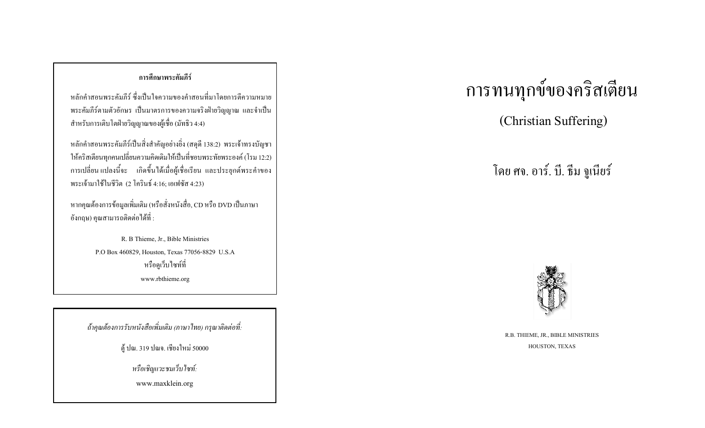#### การศึกษาพระคัมภีร์

หลักคำสอนพระคัมภีร์ ซึ่งเป็นใจความของคำสอนที่มาโดยการตีความหมาย พระคัมภีร์ตามตัวอักษร เป็นมาตรการของความจริงฝ่ายวิญญาณ และจำเป็น สำหรับการเติบโตฝ่ายวิญญาณของผู้เชื่อ (มัทธิว 4:4)

หลักคำสอนพระคัมภีร์เป็นสิ่งสำคัญอย่างยิ่ง (สดุดี 138:2) พระเจ้าทรงบัญชา ให้คริสเตียนทุกคนเปลี่ยนความคิดเดิมให้เป็นที่ชอบพระทัยพระองค์ (โรม 12:2) การเปลี่ยน แปลงนี้จะ เกิดขึ้น ได้เมื่อผู้เชื่อเรียน และประยุกต์พระคำของ พระเจ้ามาใช้ในชีวิต (2 โครินธ์ 4:16; เอเฟซัส 4:23)

หากคุณต้องการข้อมูลเพิ่มเติม (หรือสั่งหนังสื่อ, CD หรือ DVD เป็นภาษา ้อังกฤษ) คุณสามารถติดต่อได้ที่ :

> R. B Thieme, Jr., Bible Ministries P.O Box 460829, Houston, Texas 77056-8829 U.S.A หรือดูเว็บไซท์ที่ www.rbthieme.org

ถ้าคุณต้องการรับหนังสือเพิ่มเติม (ภาษาไทย) กรุณาติดต่อที่:

ดู้ ปณ. 319 ปณจ. เชียงใหม่ 50000

หรือเชิญแวะชมเว็บไซท์:

www.maxklein.org

### การทนทุกข์ของคริสเตียน

(Christian Suffering)

โดย ศจ. อาร์. บี. ธีม จูเนียร์



R.B. THIEME, JR., BIBLE MINISTRIES HOUSTON, TEXAS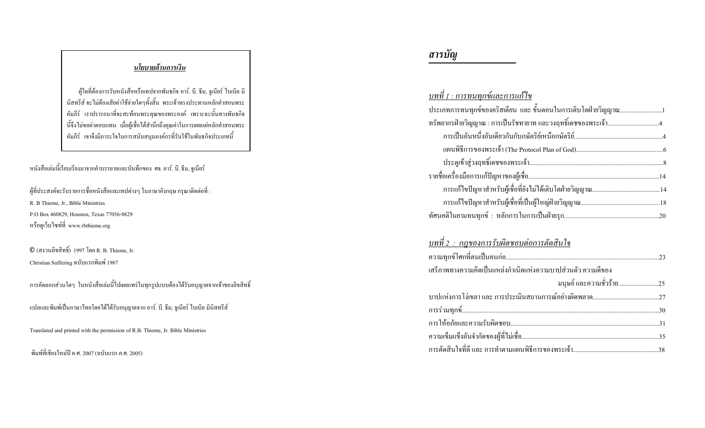#### <u>นโยบายด้านการเงิน</u>

ผู้ใดที่ต้องการรับหนังสือหรือเทปจากพันธกิจ อาร์. บี. ธีม, จูเนียร์ ไบเบิล มิ ้ นิสทรีส์ จะไม่ต้องเสียค่าใช้จ่ายใดๆทั้งสิ้น พระเจ้าทรงประทานหลักคำสอนพระ ้คัมภีร์ เราปรารถนาที่จะสะท้อนพระคุณของพระองค์ เพราะฉะนั้นทางพันธกิจ นี้จึงไม่ขอค่าตอบแทน เมื่อผู้เชื่อได้สำนึกถึงคุณค่าในการเผยแผ่หลักคำสอนพระ ้คัมภีร์ เขาจึงมีภาระใจในการสนับสนุนองค์กรที่รับใช้ในพันธกิจประเภทนี้

#### หนังสือเล่มนี้เรียบเรียงมาจากคำบรรยายและบันทึกของ ศจ. อาร์. บี. ธีม, จูเนียร์

ผู้ที่ประสงค์จะรับรายการชื่อหนังสือและเทปต่างๆ ในภาษาอังกฤษ กรุณาติดต่อที่ : R. B Thieme, Jr., Bible Ministries P.O Box 460829, Houston, Texas 77056-8829 หรือดูเว็บไซท์ที่ www.rbthieme.org

 $\mathbb O$  (สงวนลิขสิทธิ์) 1997 โดย R. B. Thieme, Jr. Christian Suffering ฉบับแรกพิมพ์ 1987

ิ การคัดลอกส่วนใดๆ ในหนังสือเล่มนี้ไปเผยแพร่ในทุกรูปแบบต้องได้รับอนุญาตจากเจ้าของลิขสิทธิ์

แปลและพิมพ์เป็นภาษาไทยโดยได้ได้รับอนุญาตจาก อาร์. บี. ธีม, จูเนียร์ ไบเบิล มินิสทรีส์

Translated and printed with the permission of R.B. Thieme, Jr. Bible Ministries

ี่ พิมพ์ที่เชียงใหม่ปี ค.ศ. 2007 (ฉบับแรก ค.ศ. 2005)

#### สารบัญ

| <u>บทที่ 1 : การทนทุกข์และการแก้ไข</u>                         |  |
|----------------------------------------------------------------|--|
| ประเภทการทนทุกข์ของคริสเตียน และ ขั้นตอนในการเติบโตฝ่ายวิญญาณ1 |  |
|                                                                |  |
|                                                                |  |
|                                                                |  |
|                                                                |  |
|                                                                |  |
|                                                                |  |
|                                                                |  |
|                                                                |  |
|                                                                |  |

#### <u>บทที่ 2 : กฎของการรับผิดชอบต่อการตัดสินใจ</u>

| ้ เสรีภาพทางความคิดเป็นแหล่งกำเนิดแห่งความบาปส่วนตัว ความดีของ |  |
|----------------------------------------------------------------|--|
| มนุษย์ และความชั่วร้าย25                                       |  |
|                                                                |  |
|                                                                |  |
|                                                                |  |
|                                                                |  |
|                                                                |  |
|                                                                |  |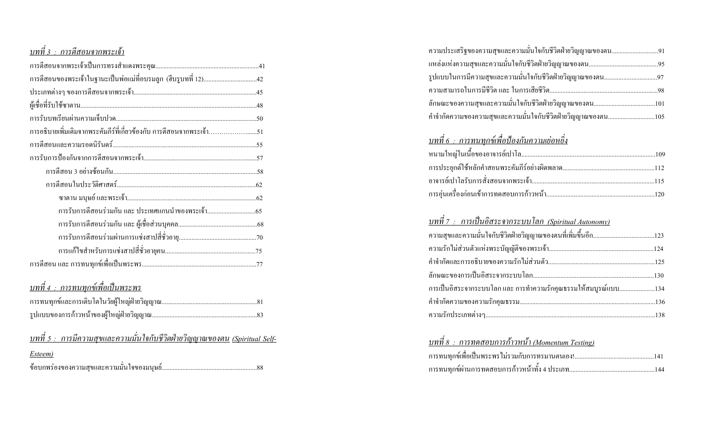#### <u>บทที่ 3 : การดีสอนจากพระเจ้า</u>

#### <u>บทที่ 4 : การทนทุกพ์เพื่อเป็นพระพร</u>

|         | ุ บทที่ 5 :  การมีความสข <u>และความมั่นใจกับชีวิตฝ่ายวิญญาณของตน (Spiritual Self-</u> |  |  |  |
|---------|---------------------------------------------------------------------------------------|--|--|--|
| Esteem) |                                                                                       |  |  |  |
|         |                                                                                       |  |  |  |

| ความประเสริฐของความสุขและความมั่นใจกับชีวิตฝ่ายวิญญาณของตน91  |  |
|---------------------------------------------------------------|--|
|                                                               |  |
| รูปแบบในการมีความสุขและความมั่นใจกับชีวิตฝ่ายวิญญาณของตน97    |  |
|                                                               |  |
|                                                               |  |
| ้คำจำกัดความของความสุขและความมั่นใจกับชีวิตฝ่ายวิญญาณของตน105 |  |

#### <u>บทที่ 6 : การทนทุกพ์เพื่อป้องกันความเย่อหยิ่ง</u>

#### <u>บทที่ 7 : การเป็นอิสระจากระบบโลก (Spiritual Autonomy)</u>

#### <u>บทที่ 8 : การทดสอบการก้าวหน้า (Momentum Testing)</u>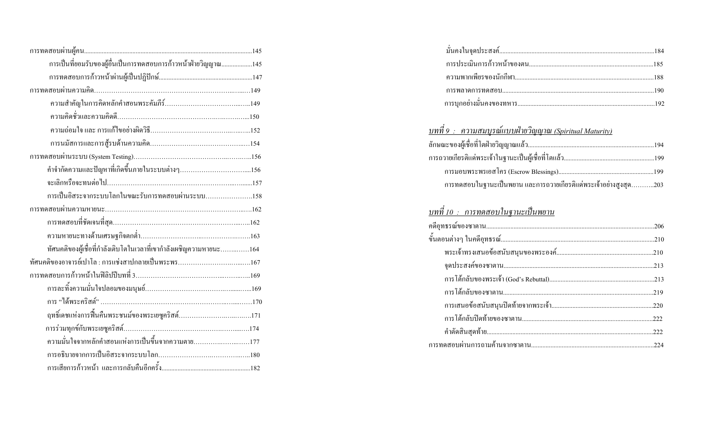| การเป็นที่ยอมรับของผู้อื่นเป็นการทดสอบการก้าวหน้าฝ่ายวิญญาณ145     |
|--------------------------------------------------------------------|
|                                                                    |
|                                                                    |
|                                                                    |
|                                                                    |
|                                                                    |
|                                                                    |
|                                                                    |
|                                                                    |
|                                                                    |
| การเป็นอิสระจากระบบโลกในขณะรับการทดสอบผ่านระบบ158                  |
|                                                                    |
|                                                                    |
|                                                                    |
|                                                                    |
| ทัศนคติของผู้เชื่อที่กำลังเติบโตในเวลาที่เขากำลังเผชิญความหายนะ164 |
|                                                                    |
|                                                                    |
|                                                                    |
|                                                                    |
|                                                                    |
|                                                                    |
| ความมั่นใจจากหลักคำสอนแห่งการเป็นขึ้นจากความตาย177                 |
|                                                                    |

#### <u>บทที่ 9 : ความสมบูรณ์แบบฝ่ายวิญญาณ (Spiritual Maturity)</u>

| ิการทดสอบในฐานะเป็นพยาน และการถวายเกียรติแค่พระเจ้าอย่างสูงสุด203 |  |
|-------------------------------------------------------------------|--|
|                                                                   |  |

#### <u>บทที่ 10 : การทดสอบในฐานะเป็นพยาน</u>